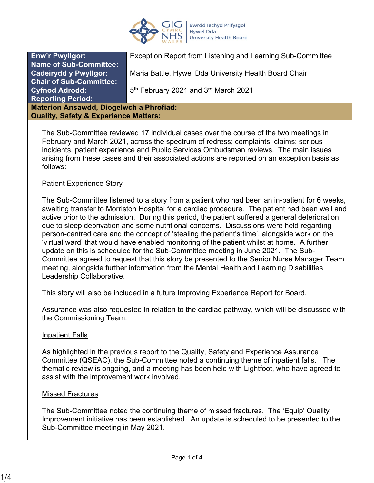

| <b>Enw'r Pwyllgor:</b>                           | Exception Report from Listening and Learning Sub-Committee   |
|--------------------------------------------------|--------------------------------------------------------------|
| <b>Name of Sub-Committee:</b>                    |                                                              |
| <b>Cadeirydd y Pwyllgor:</b>                     | Maria Battle, Hywel Dda University Health Board Chair        |
| <b>Chair of Sub-Committee:</b>                   |                                                              |
| <b>Cyfnod Adrodd:</b>                            | 5 <sup>th</sup> February 2021 and 3 <sup>rd</sup> March 2021 |
| <b>Reporting Period:</b>                         |                                                              |
| <b>Materion Ansawdd, Diogelwch a Phrofiad:</b>   |                                                              |
| <b>Quality, Safety &amp; Experience Matters:</b> |                                                              |
|                                                  |                                                              |

The Sub-Committee reviewed 17 individual cases over the course of the two meetings in February and March 2021, across the spectrum of redress; complaints; claims; serious incidents, patient experience and Public Services Ombudsman reviews. The main issues arising from these cases and their associated actions are reported on an exception basis as follows:

#### Patient Experience Story

The Sub-Committee listened to a story from a patient who had been an in-patient for 6 weeks, awaiting transfer to Morriston Hospital for a cardiac procedure. The patient had been well and active prior to the admission. During this period, the patient suffered a general deterioration due to sleep deprivation and some nutritional concerns. Discussions were held regarding person-centred care and the concept of 'stealing the patient's time', alongside work on the 'virtual ward' that would have enabled monitoring of the patient whilst at home. A further update on this is scheduled for the Sub-Committee meeting in June 2021. The Sub-Committee agreed to request that this story be presented to the Senior Nurse Manager Team meeting, alongside further information from the Mental Health and Learning Disabilities Leadership Collaborative.

This story will also be included in a future Improving Experience Report for Board.

Assurance was also requested in relation to the cardiac pathway, which will be discussed with the Commissioning Team.

#### Inpatient Falls

As highlighted in the previous report to the Quality, Safety and Experience Assurance Committee (QSEAC), the Sub-Committee noted a continuing theme of inpatient falls. The thematic review is ongoing, and a meeting has been held with Lightfoot, who have agreed to assist with the improvement work involved.

#### Missed Fractures

The Sub-Committee noted the continuing theme of missed fractures. The 'Equip' Quality Improvement initiative has been established. An update is scheduled to be presented to the Sub-Committee meeting in May 2021.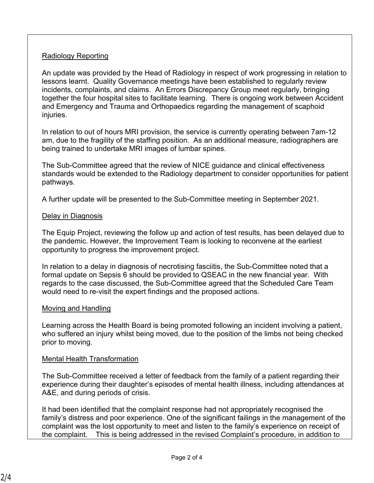### Radiology Reporting

An update was provided by the Head of Radiology in respect of work progressing in relation to lessons learnt. Quality Governance meetings have been established to regularly review incidents, complaints, and claims. An Errors Discrepancy Group meet regularly, bringing together the four hospital sites to facilitate learning. There is ongoing work between Accident and Emergency and Trauma and Orthopaedics regarding the management of scaphoid iniuries.

In relation to out of hours MRI provision, the service is currently operating between 7am-12 am, due to the fragility of the staffing position. As an additional measure, radiographers are being trained to undertake MRI images of lumbar spines.

The Sub-Committee agreed that the review of NICE guidance and clinical effectiveness standards would be extended to the Radiology department to consider opportunities for patient pathways.

A further update will be presented to the Sub-Committee meeting in September 2021.

### Delay in Diagnosis

The Equip Project, reviewing the follow up and action of test results, has been delayed due to the pandemic. However, the Improvement Team is looking to reconvene at the earliest opportunity to progress the improvement project.

In relation to a delay in diagnosis of necrotising fasciitis, the Sub-Committee noted that a formal update on Sepsis 6 should be provided to QSEAC in the new financial year. With regards to the case discussed, the Sub-Committee agreed that the Scheduled Care Team would need to re-visit the expert findings and the proposed actions.

# Moving and Handling

Learning across the Health Board is being promoted following an incident involving a patient, who suffered an injury whilst being moved, due to the position of the limbs not being checked prior to moving.

# Mental Health Transformation

The Sub-Committee received a letter of feedback from the family of a patient regarding their experience during their daughter's episodes of mental health illness, including attendances at A&E, and during periods of crisis.

It had been identified that the complaint response had not appropriately recognised the family's distress and poor experience. One of the significant failings in the management of the complaint was the lost opportunity to meet and listen to the family's experience on receipt of the complaint. This is being addressed in the revised Complaint's procedure, in addition to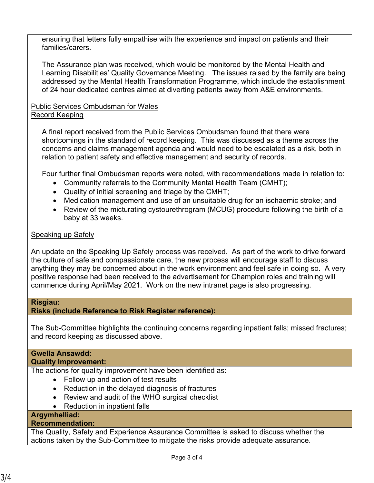ensuring that letters fully empathise with the experience and impact on patients and their families/carers.

The Assurance plan was received, which would be monitored by the Mental Health and Learning Disabilities' Quality Governance Meeting. The issues raised by the family are being addressed by the Mental Health Transformation Programme, which include the establishment of 24 hour dedicated centres aimed at diverting patients away from A&E environments.

### Public Services Ombudsman for Wales Record Keeping

A final report received from the Public Services Ombudsman found that there were shortcomings in the standard of record keeping. This was discussed as a theme across the concerns and claims management agenda and would need to be escalated as a risk, both in relation to patient safety and effective management and security of records.

Four further final Ombudsman reports were noted, with recommendations made in relation to:

- Community referrals to the Community Mental Health Team (CMHT);
- Quality of initial screening and triage by the CMHT;
- Medication management and use of an unsuitable drug for an ischaemic stroke; and
- Review of the micturating cystourethrogram (MCUG) procedure following the birth of a baby at 33 weeks.

# Speaking up Safely

An update on the Speaking Up Safely process was received. As part of the work to drive forward the culture of safe and compassionate care, the new process will encourage staff to discuss anything they may be concerned about in the work environment and feel safe in doing so. A very positive response had been received to the advertisement for Champion roles and training will commence during April/May 2021. Work on the new intranet page is also progressing.

#### **Risgiau:**

# **Risks (include Reference to Risk Register reference):**

The Sub-Committee highlights the continuing concerns regarding inpatient falls; missed fractures; and record keeping as discussed above.

# **Gwella Ansawdd:**

#### **Quality Improvement:**

The actions for quality improvement have been identified as:

- Follow up and action of test results
- Reduction in the delayed diagnosis of fractures
- Review and audit of the WHO surgical checklist
- Reduction in inpatient falls

# **Argymhelliad:**

### **Recommendation:**

The Quality, Safety and Experience Assurance Committee is asked to discuss whether the actions taken by the Sub-Committee to mitigate the risks provide adequate assurance.